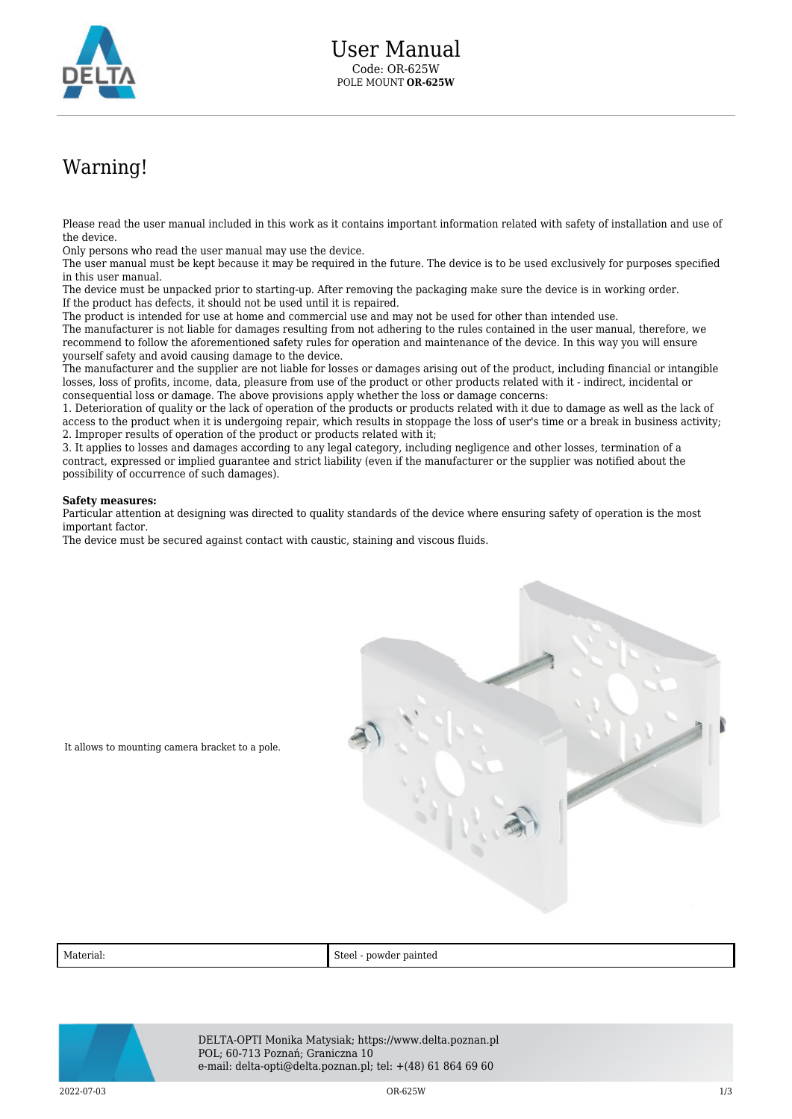

## Warning!

Please read the user manual included in this work as it contains important information related with safety of installation and use of the device.

Only persons who read the user manual may use the device.

The user manual must be kept because it may be required in the future. The device is to be used exclusively for purposes specified in this user manual.

The device must be unpacked prior to starting-up. After removing the packaging make sure the device is in working order. If the product has defects, it should not be used until it is repaired.

The product is intended for use at home and commercial use and may not be used for other than intended use.

The manufacturer is not liable for damages resulting from not adhering to the rules contained in the user manual, therefore, we recommend to follow the aforementioned safety rules for operation and maintenance of the device. In this way you will ensure yourself safety and avoid causing damage to the device.

The manufacturer and the supplier are not liable for losses or damages arising out of the product, including financial or intangible losses, loss of profits, income, data, pleasure from use of the product or other products related with it - indirect, incidental or consequential loss or damage. The above provisions apply whether the loss or damage concerns:

1. Deterioration of quality or the lack of operation of the products or products related with it due to damage as well as the lack of access to the product when it is undergoing repair, which results in stoppage the loss of user's time or a break in business activity; 2. Improper results of operation of the product or products related with it;

3. It applies to losses and damages according to any legal category, including negligence and other losses, termination of a contract, expressed or implied guarantee and strict liability (even if the manufacturer or the supplier was notified about the possibility of occurrence of such damages).

## **Safety measures:**

Particular attention at designing was directed to quality standards of the device where ensuring safety of operation is the most important factor.

The device must be secured against contact with caustic, staining and viscous fluids.



It allows to mounting camera bracket to a pole.

| $\mathbf{A}$<br>Material: | Steel<br>powder painted<br>. |
|---------------------------|------------------------------|
|---------------------------|------------------------------|



DELTA-OPTI Monika Matysiak; https://www.delta.poznan.pl POL; 60-713 Poznań; Graniczna 10 e-mail: delta-opti@delta.poznan.pl; tel: +(48) 61 864 69 60

2022-07-03 OR-625W 1/3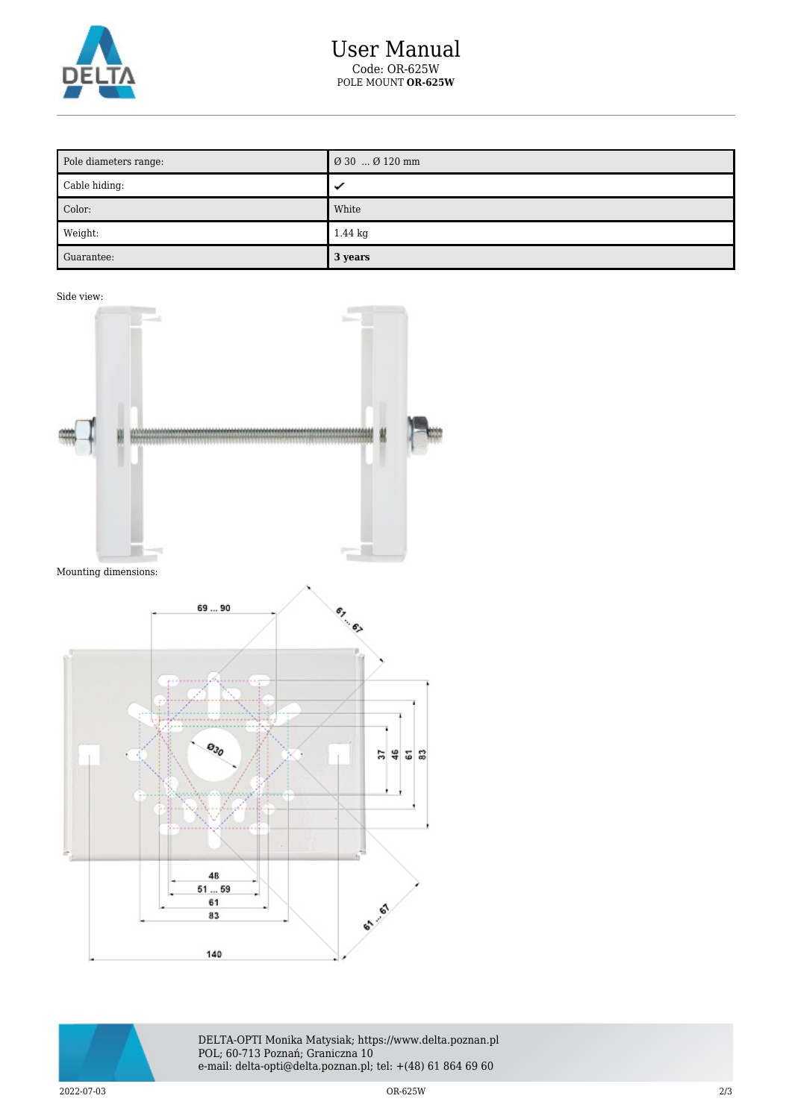

| Pole diameters range: | Ø 30  Ø 120 mm    |
|-----------------------|-------------------|
| Cable hiding:         | ✓                 |
| Color:                | White             |
| Weight:               | $1.44 \text{ kg}$ |
| Guarantee:            | 3 years           |

Side view:





DELTA-OPTI Monika Matysiak; https://www.delta.poznan.pl POL; 60-713 Poznań; Graniczna 10 e-mail: delta-opti@delta.poznan.pl; tel: +(48) 61 864 69 60